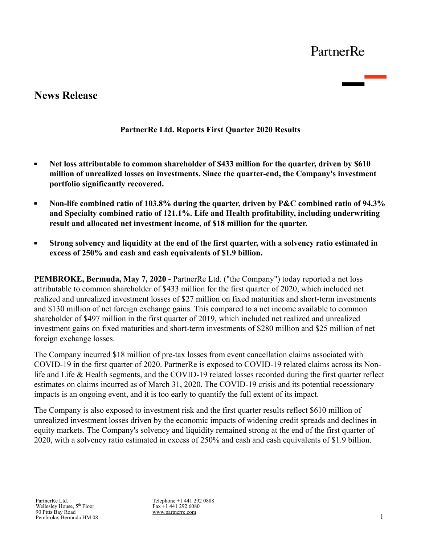# **News Release**

## **PartnerRe Ltd. Reports First Quarter 2020 Results**

- **Net loss attributable to common shareholder of \$433 million for the quarter, driven by \$610**   $\blacksquare$ **million of unrealized losses on investments. Since the quarter-end, the Company's investment portfolio significantly recovered.**
- $\blacksquare$ **Non-life combined ratio of 103.8% during the quarter, driven by P&C combined ratio of 94.3% and Specialty combined ratio of 121.1%. Life and Health profitability, including underwriting result and allocated net investment income, of \$18 million for the quarter.**
- $\blacksquare$ **Strong solvency and liquidity at the end of the first quarter, with a solvency ratio estimated in excess of 250% and cash and cash equivalents of \$1.9 billion.**

**PEMBROKE, Bermuda, May 7, 2020 -** PartnerRe Ltd. ("the Company") today reported a net loss attributable to common shareholder of \$433 million for the first quarter of 2020, which included net realized and unrealized investment losses of \$27 million on fixed maturities and short-term investments and \$130 million of net foreign exchange gains. This compared to a net income available to common shareholder of \$497 million in the first quarter of 2019, which included net realized and unrealized investment gains on fixed maturities and short-term investments of \$280 million and \$25 million of net foreign exchange losses.

The Company incurred \$18 million of pre-tax losses from event cancellation claims associated with COVID-19 in the first quarter of 2020. PartnerRe is exposed to COVID-19 related claims across its Nonlife and Life & Health segments, and the COVID-19 related losses recorded during the first quarter reflect estimates on claims incurred as of March 31, 2020. The COVID-19 crisis and its potential recessionary impacts is an ongoing event, and it is too early to quantify the full extent of its impact.

The Company is also exposed to investment risk and the first quarter results reflect \$610 million of unrealized investment losses driven by the economic impacts of widening credit spreads and declines in equity markets. The Company's solvency and liquidity remained strong at the end of the first quarter of 2020, with a solvency ratio estimated in excess of 250% and cash and cash equivalents of \$1.9 billion.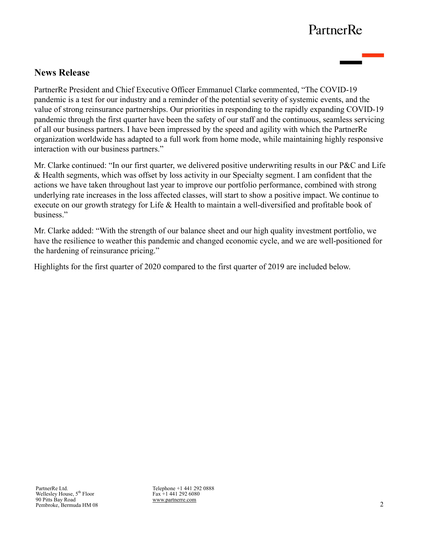# **News Release**

PartnerRe President and Chief Executive Officer Emmanuel Clarke commented, "The COVID-19 pandemic is a test for our industry and a reminder of the potential severity of systemic events, and the value of strong reinsurance partnerships. Our priorities in responding to the rapidly expanding COVID-19 pandemic through the first quarter have been the safety of our staff and the continuous, seamless servicing of all our business partners. I have been impressed by the speed and agility with which the PartnerRe organization worldwide has adapted to a full work from home mode, while maintaining highly responsive interaction with our business partners."

Mr. Clarke continued: "In our first quarter, we delivered positive underwriting results in our P&C and Life & Health segments, which was offset by loss activity in our Specialty segment. I am confident that the actions we have taken throughout last year to improve our portfolio performance, combined with strong underlying rate increases in the loss affected classes, will start to show a positive impact. We continue to execute on our growth strategy for Life & Health to maintain a well-diversified and profitable book of business."

Mr. Clarke added: "With the strength of our balance sheet and our high quality investment portfolio, we have the resilience to weather this pandemic and changed economic cycle, and we are well-positioned for the hardening of reinsurance pricing."

Highlights for the first quarter of 2020 compared to the first quarter of 2019 are included below.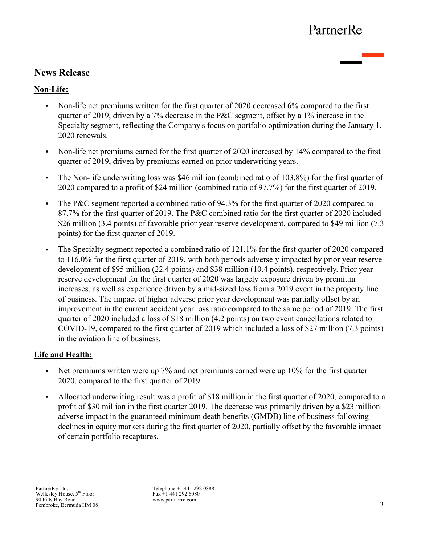# **News Release**

## **Non-Life:**

- Non-life net premiums written for the first quarter of 2020 decreased 6% compared to the first quarter of 2019, driven by a 7% decrease in the P&C segment, offset by a 1% increase in the Specialty segment, reflecting the Company's focus on portfolio optimization during the January 1, 2020 renewals.
- Non-life net premiums earned for the first quarter of 2020 increased by 14% compared to the first quarter of 2019, driven by premiums earned on prior underwriting years.
- The Non-life underwriting loss was \$46 million (combined ratio of 103.8%) for the first quarter of 2020 compared to a profit of \$24 million (combined ratio of 97.7%) for the first quarter of 2019.
- The P&C segment reported a combined ratio of 94.3% for the first quarter of 2020 compared to 87.7% for the first quarter of 2019. The P&C combined ratio for the first quarter of 2020 included \$26 million (3.4 points) of favorable prior year reserve development, compared to \$49 million (7.3) points) for the first quarter of 2019.
- The Specialty segment reported a combined ratio of 121.1% for the first quarter of 2020 compared to 116.0% for the first quarter of 2019, with both periods adversely impacted by prior year reserve development of \$95 million (22.4 points) and \$38 million (10.4 points), respectively. Prior year reserve development for the first quarter of 2020 was largely exposure driven by premium increases, as well as experience driven by a mid-sized loss from a 2019 event in the property line of business. The impact of higher adverse prior year development was partially offset by an improvement in the current accident year loss ratio compared to the same period of 2019. The first quarter of 2020 included a loss of \$18 million (4.2 points) on two event cancellations related to COVID-19, compared to the first quarter of 2019 which included a loss of \$27 million (7.3 points) in the aviation line of business.

## **Life and Health:**

- Net premiums written were up 7% and net premiums earned were up 10% for the first quarter 2020, compared to the first quarter of 2019.
- $\blacksquare$ Allocated underwriting result was a profit of \$18 million in the first quarter of 2020, compared to a profit of \$30 million in the first quarter 2019. The decrease was primarily driven by a \$23 million adverse impact in the guaranteed minimum death benefits (GMDB) line of business following declines in equity markets during the first quarter of 2020, partially offset by the favorable impact of certain portfolio recaptures.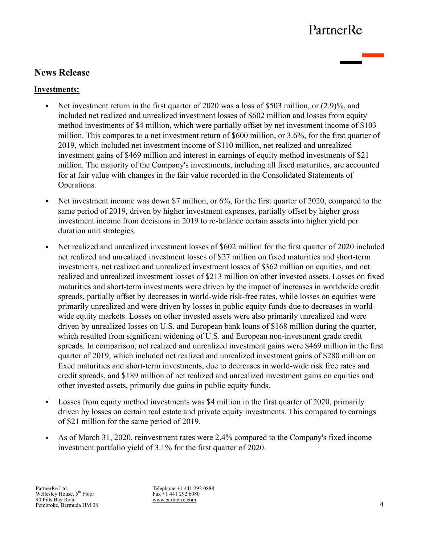# **News Release**

## **Investments:**

- Net investment return in the first quarter of 2020 was a loss of \$503 million, or (2.9)%, and included net realized and unrealized investment losses of \$602 million and losses from equity method investments of \$4 million, which were partially offset by net investment income of \$103 million. This compares to a net investment return of \$600 million, or 3.6%, for the first quarter of 2019, which included net investment income of \$110 million, net realized and unrealized investment gains of \$469 million and interest in earnings of equity method investments of \$21 million. The majority of the Company's investments, including all fixed maturities, are accounted for at fair value with changes in the fair value recorded in the Consolidated Statements of Operations.
- Net investment income was down \$7 million, or 6%, for the first quarter of 2020, compared to the  $\blacksquare$ same period of 2019, driven by higher investment expenses, partially offset by higher gross investment income from decisions in 2019 to re-balance certain assets into higher yield per duration unit strategies.
- Net realized and unrealized investment losses of \$602 million for the first quarter of 2020 included  $\blacksquare$ net realized and unrealized investment losses of \$27 million on fixed maturities and short-term investments, net realized and unrealized investment losses of \$362 million on equities, and net realized and unrealized investment losses of \$213 million on other invested assets. Losses on fixed maturities and short-term investments were driven by the impact of increases in worldwide credit spreads, partially offset by decreases in world-wide risk-free rates, while losses on equities were primarily unrealized and were driven by losses in public equity funds due to decreases in worldwide equity markets. Losses on other invested assets were also primarily unrealized and were driven by unrealized losses on U.S. and European bank loans of \$168 million during the quarter, which resulted from significant widening of U.S. and European non-investment grade credit spreads. In comparison, net realized and unrealized investment gains were \$469 million in the first quarter of 2019, which included net realized and unrealized investment gains of \$280 million on fixed maturities and short-term investments, due to decreases in world-wide risk free rates and credit spreads, and \$189 million of net realized and unrealized investment gains on equities and other invested assets, primarily due gains in public equity funds.
- Losses from equity method investments was \$4 million in the first quarter of 2020, primarily  $\blacksquare$ driven by losses on certain real estate and private equity investments. This compared to earnings of \$21 million for the same period of 2019.
- As of March 31, 2020, reinvestment rates were 2.4% compared to the Company's fixed income  $\blacksquare$ investment portfolio yield of 3.1% for the first quarter of 2020.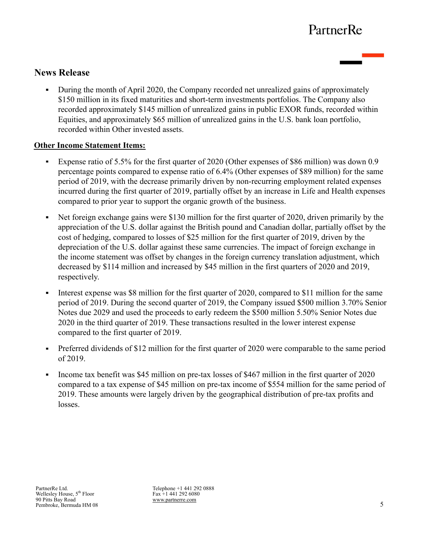# **News Release**

 $\blacksquare$ During the month of April 2020, the Company recorded net unrealized gains of approximately \$150 million in its fixed maturities and short-term investments portfolios. The Company also recorded approximately \$145 million of unrealized gains in public EXOR funds, recorded within Equities, and approximately \$65 million of unrealized gains in the U.S. bank loan portfolio, recorded within Other invested assets.

### **Other Income Statement Items:**

- Expense ratio of 5.5% for the first quarter of 2020 (Other expenses of \$86 million) was down 0.9  $\mathbf{r}$ percentage points compared to expense ratio of 6.4% (Other expenses of \$89 million) for the same period of 2019, with the decrease primarily driven by non-recurring employment related expenses incurred during the first quarter of 2019, partially offset by an increase in Life and Health expenses compared to prior year to support the organic growth of the business.
- Net foreign exchange gains were \$130 million for the first quarter of 2020, driven primarily by the  $\blacksquare$ appreciation of the U.S. dollar against the British pound and Canadian dollar, partially offset by the cost of hedging, compared to losses of \$25 million for the first quarter of 2019, driven by the depreciation of the U.S. dollar against these same currencies. The impact of foreign exchange in the income statement was offset by changes in the foreign currency translation adjustment, which decreased by \$114 million and increased by \$45 million in the first quarters of 2020 and 2019, respectively.
- Interest expense was \$8 million for the first quarter of 2020, compared to \$11 million for the same  $\blacksquare$ period of 2019. During the second quarter of 2019, the Company issued \$500 million 3.70% Senior Notes due 2029 and used the proceeds to early redeem the \$500 million 5.50% Senior Notes due 2020 in the third quarter of 2019. These transactions resulted in the lower interest expense compared to the first quarter of 2019.
- Preferred dividends of \$12 million for the first quarter of 2020 were comparable to the same period of 2019.
- Income tax benefit was \$45 million on pre-tax losses of \$467 million in the first quarter of 2020  $\blacksquare$ compared to a tax expense of \$45 million on pre-tax income of \$554 million for the same period of 2019. These amounts were largely driven by the geographical distribution of pre-tax profits and losses.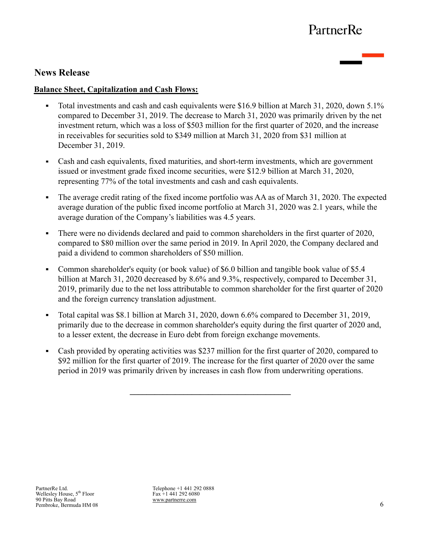## **News Release**

### **Balance Sheet, Capitalization and Cash Flows:**

- $\blacksquare$ Total investments and cash and cash equivalents were \$16.9 billion at March 31, 2020, down 5.1% compared to December 31, 2019. The decrease to March 31, 2020 was primarily driven by the net investment return, which was a loss of \$503 million for the first quarter of 2020, and the increase in receivables for securities sold to \$349 million at March 31, 2020 from \$31 million at December 31, 2019.
- Cash and cash equivalents, fixed maturities, and short-term investments, which are government  $\blacksquare$ issued or investment grade fixed income securities, were \$12.9 billion at March 31, 2020, representing 77% of the total investments and cash and cash equivalents.
- The average credit rating of the fixed income portfolio was AA as of March 31, 2020. The expected average duration of the public fixed income portfolio at March 31, 2020 was 2.1 years, while the average duration of the Company's liabilities was 4.5 years.
- There were no dividends declared and paid to common shareholders in the first quarter of 2020,  $\blacksquare$ compared to \$80 million over the same period in 2019. In April 2020, the Company declared and paid a dividend to common shareholders of \$50 million.
- Common shareholder's equity (or book value) of \$6.0 billion and tangible book value of \$5.4 billion at March 31, 2020 decreased by 8.6% and 9.3%, respectively, compared to December 31, 2019, primarily due to the net loss attributable to common shareholder for the first quarter of 2020 and the foreign currency translation adjustment.
- Total capital was \$8.1 billion at March 31, 2020, down 6.6% compared to December 31, 2019,  $\blacksquare$ primarily due to the decrease in common shareholder's equity during the first quarter of 2020 and, to a lesser extent, the decrease in Euro debt from foreign exchange movements.
- Cash provided by operating activities was \$237 million for the first quarter of 2020, compared to \$92 million for the first quarter of 2019. The increase for the first quarter of 2020 over the same period in 2019 was primarily driven by increases in cash flow from underwriting operations.

**\_\_\_\_\_\_\_\_\_\_\_\_\_\_\_\_\_\_\_\_\_\_\_\_\_\_\_\_\_\_\_\_\_\_\_\_\_\_\_**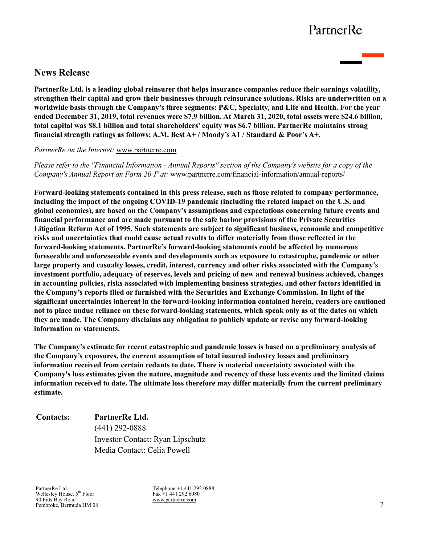# **News Release**

**PartnerRe Ltd. is a leading global reinsurer that helps insurance companies reduce their earnings volatility, strengthen their capital and grow their businesses through reinsurance solutions. Risks are underwritten on a worldwide basis through the Company's three segments: P&C, Specialty, and Life and Health. For the year ended December 31, 2019, total revenues were \$7.9 billion. At March 31, 2020, total assets were \$24.6 billion, total capital was \$8.1 billion and total shareholders' equity was \$6.7 billion. PartnerRe maintains strong financial strength ratings as follows: A.M. Best A+ / Moody's A1 / Standard & Poor's A+.** 

*PartnerRe on the Internet:* www.partnerre.com

*Please refer to the "Financial Information - Annual Reports" section of the Company's website for a copy of the Company's Annual Report on Form 20-F at:* www.partnerre.com/financial-information/annual-reports/

**Forward-looking statements contained in this press release, such as those related to company performance, including the impact of the ongoing COVID-19 pandemic (including the related impact on the U.S. and global economies), are based on the Company's assumptions and expectations concerning future events and financial performance and are made pursuant to the safe harbor provisions of the Private Securities Litigation Reform Act of 1995. Such statements are subject to significant business, economic and competitive risks and uncertainties that could cause actual results to differ materially from those reflected in the forward-looking statements. PartnerRe's forward-looking statements could be affected by numerous foreseeable and unforeseeable events and developments such as exposure to catastrophe, pandemic or other large property and casualty losses, credit, interest, currency and other risks associated with the Company's investment portfolio, adequacy of reserves, levels and pricing of new and renewal business achieved, changes in accounting policies, risks associated with implementing business strategies, and other factors identified in the Company's reports filed or furnished with the Securities and Exchange Commission. In light of the significant uncertainties inherent in the forward-looking information contained herein, readers are cautioned not to place undue reliance on these forward-looking statements, which speak only as of the dates on which they are made. The Company disclaims any obligation to publicly update or revise any forward-looking information or statements.** 

**The Company's estimate for recent catastrophic and pandemic losses is based on a preliminary analysis of the Company's exposures, the current assumption of total insured industry losses and preliminary information received from certain cedants to date. There is material uncertainty associated with the Company's loss estimates given the nature, magnitude and recency of these loss events and the limited claims information received to date. The ultimate loss therefore may differ materially from the current preliminary estimate.**

**Contacts: PartnerRe Ltd.** (441) 292-0888 Investor Contact: Ryan Lipschutz Media Contact: Celia Powell

PartnerRe Ltd. Wellesley House, 5<sup>th</sup> Floor 90 Pitts Bay Road Pembroke, Bermuda HM 08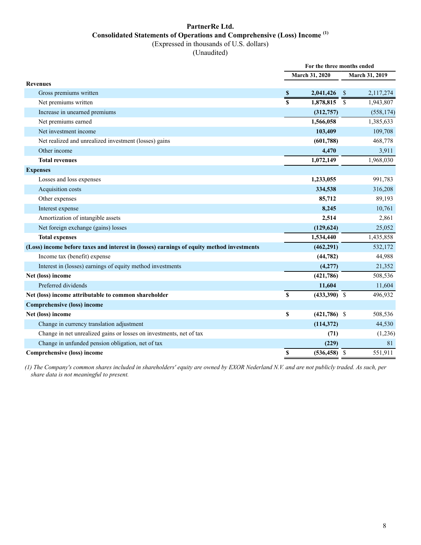## **PartnerRe Ltd. Consolidated Statements of Operations and Comprehensive (Loss) Income (1)**

(Expressed in thousands of U.S. dollars)

(Unaudited)

|                                                                                           | For the three months ended |                       |                          |                |  |
|-------------------------------------------------------------------------------------------|----------------------------|-----------------------|--------------------------|----------------|--|
|                                                                                           |                            | <b>March 31, 2020</b> |                          | March 31, 2019 |  |
| <b>Revenues</b>                                                                           |                            |                       |                          |                |  |
| Gross premiums written                                                                    | <sup>\$</sup>              | 2,041,426             | -S                       | 2,117,274      |  |
| Net premiums written                                                                      | $\mathbf{\hat{s}}$         | 1,878,815             | $\overline{\mathcal{S}}$ | 1,943,807      |  |
| Increase in unearned premiums                                                             |                            | (312,757)             |                          | (558, 174)     |  |
| Net premiums earned                                                                       |                            | 1,566,058             |                          | 1,385,633      |  |
| Net investment income                                                                     |                            | 103,409               |                          | 109,708        |  |
| Net realized and unrealized investment (losses) gains                                     |                            | (601,788)             |                          | 468,778        |  |
| Other income                                                                              |                            | 4,470                 |                          | 3,911          |  |
| <b>Total revenues</b>                                                                     |                            | 1,072,149             |                          | 1,968,030      |  |
| <b>Expenses</b>                                                                           |                            |                       |                          |                |  |
| Losses and loss expenses                                                                  |                            | 1,233,055             |                          | 991,783        |  |
| Acquisition costs                                                                         |                            | 334,538               |                          | 316,208        |  |
| Other expenses                                                                            |                            | 85,712                |                          | 89,193         |  |
| Interest expense                                                                          |                            | 8,245                 |                          | 10,761         |  |
| Amortization of intangible assets                                                         |                            | 2,514                 |                          | 2,861          |  |
| Net foreign exchange (gains) losses                                                       |                            | (129, 624)            |                          | 25,052         |  |
| <b>Total expenses</b>                                                                     |                            | 1,534,440             |                          | 1,435,858      |  |
| (Loss) income before taxes and interest in (losses) earnings of equity method investments |                            | (462, 291)            |                          | 532,172        |  |
| Income tax (benefit) expense                                                              |                            | (44, 782)             |                          | 44,988         |  |
| Interest in (losses) earnings of equity method investments                                |                            | (4,277)               |                          | 21,352         |  |
| Net (loss) income                                                                         |                            | (421,786)             |                          | 508,536        |  |
| Preferred dividends                                                                       |                            | 11,604                |                          | 11,604         |  |
| Net (loss) income attributable to common shareholder                                      | \$                         | $(433,390)$ \$        |                          | 496,932        |  |
| <b>Comprehensive (loss) income</b>                                                        |                            |                       |                          |                |  |
| Net (loss) income                                                                         | \$                         | $(421,786)$ \$        |                          | 508,536        |  |
| Change in currency translation adjustment                                                 |                            | (114, 372)            |                          | 44,530         |  |
| Change in net unrealized gains or losses on investments, net of tax                       |                            | (71)                  |                          | (1,236)        |  |
| Change in unfunded pension obligation, net of tax                                         |                            | (229)                 |                          | 81             |  |
| <b>Comprehensive (loss) income</b>                                                        | \$                         | $(536, 458)$ \$       |                          | 551,911        |  |

*(1) The Company's common shares included in shareholders' equity are owned by EXOR Nederland N.V. and are not publicly traded. As such, per share data is not meaningful to present.*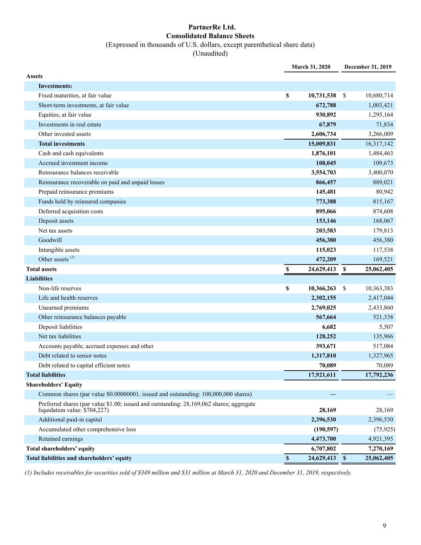### **PartnerRe Ltd. Consolidated Balance Sheets** (Expressed in thousands of U.S. dollars, except parenthetical share data)

(Unaudited)

|                                                                                                                           |             | March 31, 2020 | December 31, 2019           |  |  |
|---------------------------------------------------------------------------------------------------------------------------|-------------|----------------|-----------------------------|--|--|
| <b>Assets</b>                                                                                                             |             |                |                             |  |  |
| Investments:                                                                                                              |             |                |                             |  |  |
| Fixed maturities, at fair value                                                                                           | $\mathbb S$ | 10,731,538     | 10,680,714<br><sup>\$</sup> |  |  |
| Short-term investments, at fair value                                                                                     |             | 672,788        | 1,003,421                   |  |  |
| Equities, at fair value                                                                                                   |             | 930,892        | 1,295,164                   |  |  |
| Investments in real estate                                                                                                |             | 67,879         | 71,834                      |  |  |
| Other invested assets                                                                                                     |             | 2,606,734      | 3,266,009                   |  |  |
| <b>Total investments</b>                                                                                                  |             | 15,009,831     | 16,317,142                  |  |  |
| Cash and cash equivalents                                                                                                 |             | 1,876,101      | 1,484,463                   |  |  |
| Accrued investment income                                                                                                 |             | 108,045        | 109,673                     |  |  |
| Reinsurance balances receivable                                                                                           |             | 3,554,703      | 3,400,070                   |  |  |
| Reinsurance recoverable on paid and unpaid losses                                                                         |             | 866,457        | 889,021                     |  |  |
| Prepaid reinsurance premiums                                                                                              |             | 145,481        | 80,942                      |  |  |
| Funds held by reinsured companies                                                                                         |             | 773,388        | 815,167                     |  |  |
| Deferred acquisition costs                                                                                                |             | 895,066        | 874,608                     |  |  |
| Deposit assets                                                                                                            |             | 153,146        | 168,067                     |  |  |
| Net tax assets                                                                                                            |             | 203,583        | 179,813                     |  |  |
| Goodwill                                                                                                                  |             | 456,380        | 456,380                     |  |  |
| Intangible assets                                                                                                         |             | 115,023        | 117,538                     |  |  |
| Other assets $(1)$                                                                                                        |             | 472,209        | 169,521                     |  |  |
| <b>Total assets</b>                                                                                                       | \$          | 24,629,413     | 25,062,405<br><b>S</b>      |  |  |
|                                                                                                                           |             |                |                             |  |  |
| <b>Liabilities</b>                                                                                                        |             |                |                             |  |  |
| Non-life reserves                                                                                                         | \$          | 10,366,263     | \$<br>10,363,383            |  |  |
| Life and health reserves                                                                                                  |             | 2,302,155      | 2,417,044                   |  |  |
| Unearned premiums                                                                                                         |             | 2,769,025      | 2,433,860                   |  |  |
| Other reinsurance balances payable                                                                                        |             | 567,664        | 521,338                     |  |  |
| Deposit liabilities                                                                                                       |             | 6,682          | 5,507                       |  |  |
| Net tax liabilities                                                                                                       |             | 128,252        | 135,966                     |  |  |
| Accounts payable, accrued expenses and other                                                                              |             | 393,671        | 517,084                     |  |  |
| Debt related to senior notes                                                                                              |             | 1,317,810      | 1,327,965                   |  |  |
| Debt related to capital efficient notes                                                                                   |             | 70,089         |                             |  |  |
| <b>Total liabilities</b>                                                                                                  |             | 17,921,611     | 70,089<br>17,792,236        |  |  |
| <b>Shareholders' Equity</b>                                                                                               |             |                |                             |  |  |
| Common shares (par value \$0.00000001; issued and outstanding: 100,000,000 shares)                                        |             |                |                             |  |  |
| Preferred shares (par value \$1.00; issued and outstanding: 28,169,062 shares; aggregate<br>liquidation value: \$704,227) |             | 28,169         | 28,169                      |  |  |
| Additional paid-in capital                                                                                                |             | 2,396,530      | 2,396,530                   |  |  |
| Accumulated other comprehensive loss                                                                                      |             | (190, 597)     | (75, 925)                   |  |  |
| Retained earnings                                                                                                         |             | 4,473,700      | 4,921,395                   |  |  |
| Total shareholders' equity                                                                                                |             | 6,707,802      | 7,270,169                   |  |  |

*(1) Includes receivables for securities sold of \$349 million and \$31 million at March 31, 2020 and December 31, 2019, respectively.*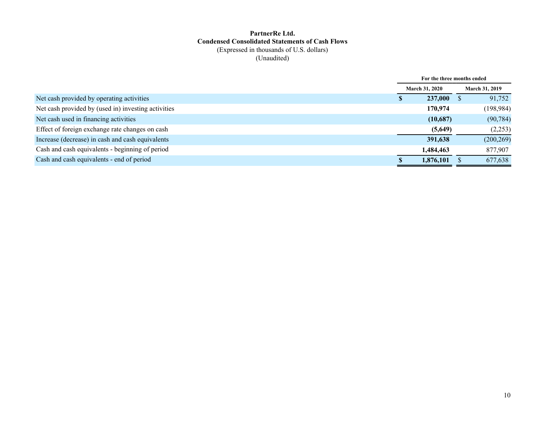### **PartnerRe Ltd. Condensed Consolidated Statements of Cash Flows** (Expressed in thousands of U.S. dollars) (Unaudited)

| For the three months ended |           |  |                       |  |  |
|----------------------------|-----------|--|-----------------------|--|--|
| <b>March 31, 2020</b>      |           |  | <b>March 31, 2019</b> |  |  |
|                            | 237,000   |  | 91,752                |  |  |
|                            | 170,974   |  | (198, 984)            |  |  |
|                            | (10,687)  |  | (90, 784)             |  |  |
|                            | (5,649)   |  | (2,253)               |  |  |
|                            | 391,638   |  | (200, 269)            |  |  |
|                            | 1,484,463 |  | 877,907               |  |  |
|                            | 1,876,101 |  | 677,638               |  |  |
|                            |           |  |                       |  |  |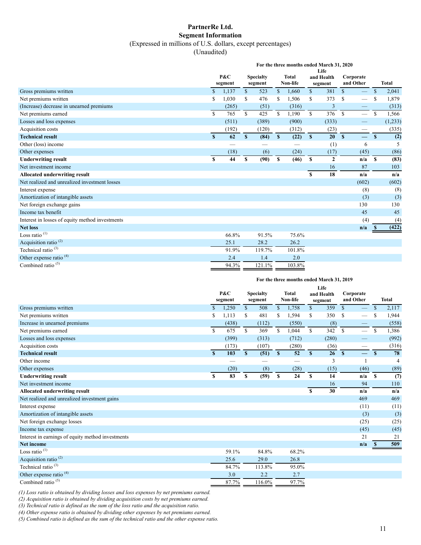### **PartnerRe Ltd. Segment Information** (Expressed in millions of U.S. dollars, except percentages)

(Unaudited)

| For the three months ended March 31, 2020 |       |               |        |                             |              |               |                 |                               |                                |                        |              |
|-------------------------------------------|-------|---------------|--------|-----------------------------|--------------|---------------|-----------------|-------------------------------|--------------------------------|------------------------|--------------|
|                                           | P&C   |               |        |                             | <b>Total</b> |               |                 |                               |                                |                        | <b>Total</b> |
| $\mathbf{s}$                              | 1,137 | $\mathbb{S}$  | 523    | $\mathbb{S}$                | 1,660        | \$            | 381             | \$                            |                                | $\mathcal{S}$          | 2,041        |
|                                           | 1,030 | \$            | 476    | \$                          | 1,506        | \$            | 373             | \$                            |                                | S                      | 1,879        |
|                                           | (265) |               | (51)   |                             | (316)        |               | 3               |                               |                                |                        | (313)        |
| S                                         | 765   | <sup>\$</sup> | 425    | \$                          | 1,190        | \$            | 376             | $\mathbb{S}$                  | $\overline{\phantom{0}}$       | <sup>\$</sup>          | 1,566        |
|                                           | (511) |               | (389)  |                             | (900)        |               | (333)           |                               | $\qquad \qquad \longleftarrow$ |                        | (1,233)      |
|                                           | (192) |               | (120)  |                             | (312)        |               | (23)            |                               |                                |                        | (335)        |
| S                                         | 62    | $\mathbf{s}$  | (84)   | $\mathbf{s}$                | (22)         | $\mathbf{s}$  | 20 <sup>°</sup> | $\mathbf{s}$                  | $\equiv$                       |                        | (2)          |
|                                           |       |               |        |                             |              |               | (1)             |                               | 6                              |                        | 5            |
|                                           | (18)  |               | (6)    |                             | (24)         |               | (17)            |                               | (45)                           |                        | (86)         |
| S                                         | 44    | <sup>\$</sup> | (90)   | <sup>\$</sup>               | (46)         | <sup>\$</sup> | $\overline{2}$  |                               | n/a                            | S                      | (83)         |
|                                           |       |               |        |                             |              |               | 16              |                               | 87                             |                        | 103          |
|                                           |       |               |        |                             |              | \$            | 18              |                               | n/a                            |                        | n/a          |
|                                           |       |               |        |                             |              |               |                 |                               | (602)                          |                        | (602)        |
|                                           |       |               |        |                             |              |               |                 |                               | (8)                            |                        | (8)          |
|                                           |       |               |        |                             |              |               |                 |                               | (3)                            |                        | (3)          |
|                                           |       |               |        |                             |              |               |                 |                               | 130                            |                        | 130          |
|                                           |       |               |        |                             |              |               |                 |                               | 45                             |                        | 45           |
|                                           |       |               |        |                             |              |               |                 |                               | (4)                            |                        | (4)          |
|                                           |       |               |        |                             |              |               |                 |                               | n/a                            |                        | (422)        |
|                                           | 66.8% |               | 91.5%  |                             |              |               |                 |                               |                                |                        |              |
|                                           | 25.1  |               | 28.2   |                             | 26.2         |               |                 |                               |                                |                        |              |
|                                           | 91.9% |               | 119.7% |                             | 101.8%       |               |                 |                               |                                |                        |              |
|                                           | 2.4   |               | 1.4    |                             | 2.0          |               |                 |                               |                                |                        |              |
|                                           | 94.3% |               | 121.1% |                             | 103.8%       |               |                 |                               |                                |                        |              |
|                                           |       | segment       |        | <b>Specialty</b><br>segment |              | Non-life      | 75.6%           | Life<br>and Health<br>segment |                                | Corporate<br>and Other | $\mathbf{s}$ |

#### **For the three months ended March 31, 2019**

|                                                   |             | P&C<br>segment |              | <b>Specialty</b><br>segment |              | <b>Total</b><br>Non-life |              | Life<br>and Health<br>segment | Corporate<br>and Other |                          |               |       |  | <b>Total</b> |
|---------------------------------------------------|-------------|----------------|--------------|-----------------------------|--------------|--------------------------|--------------|-------------------------------|------------------------|--------------------------|---------------|-------|--|--------------|
| Gross premiums written                            | $\mathbf S$ | 1,250          | $\mathbb{S}$ | 508                         | $\mathbb{S}$ | 1,758                    | $\mathbb{S}$ | 359                           | $\mathcal{S}$          |                          | $\mathbb{S}$  | 2,117 |  |              |
| Net premiums written                              | \$          | 1,113          | \$           | 481                         | \$           | 1,594                    | \$           | 350                           | S                      |                          |               | 1,944 |  |              |
| Increase in unearned premiums                     |             | (438)          |              | (112)                       |              | (550)                    |              | (8)                           |                        |                          |               | (558) |  |              |
| Net premiums earned                               | $\mathbf S$ | 675            | $\mathbb{S}$ | 369                         | \$           | 1,044                    | $\mathbb{S}$ | 342                           | $\mathbf S$            | $\overline{\phantom{0}}$ | <sup>\$</sup> | 1,386 |  |              |
| Losses and loss expenses                          |             | (399)          |              | (313)                       |              | (712)                    |              | (280)                         |                        |                          |               | (992) |  |              |
| Acquisition costs                                 |             | (173)          |              | (107)                       |              | (280)                    |              | (36)                          |                        |                          |               | (316) |  |              |
| <b>Technical result</b>                           | S           | 103            | S            | (51)                        | $\mathbf{s}$ | 52                       | S            | 26                            | $\mathbf{s}$           | —                        | $\mathbf{s}$  | 78    |  |              |
| Other income                                      |             |                |              |                             |              |                          |              | 3                             |                        |                          |               | 4     |  |              |
| Other expenses                                    |             | (20)           |              | (8)                         |              | (28)                     |              | (15)                          |                        | (46)                     |               | (89)  |  |              |
| <b>Underwriting result</b>                        | \$          | 83             | \$           | (59)                        | S            | 24                       | S            | 14                            |                        | n/a                      | $\mathbf{s}$  | (7)   |  |              |
| Net investment income                             |             |                |              |                             |              |                          |              | 16                            |                        | 94                       |               | 110   |  |              |
| Allocated underwriting result                     |             |                |              |                             |              |                          | S            | 30                            |                        | n/a                      |               | n/a   |  |              |
| Net realized and unrealized investment gains      |             |                |              |                             |              |                          |              |                               |                        | 469                      |               | 469   |  |              |
| Interest expense                                  |             |                |              |                             |              |                          |              |                               |                        | (11)                     |               | (11)  |  |              |
| Amortization of intangible assets                 |             |                |              |                             |              |                          |              |                               |                        | (3)                      |               | (3)   |  |              |
| Net foreign exchange losses                       |             |                |              |                             |              |                          |              |                               |                        | (25)                     |               | (25)  |  |              |
| Income tax expense                                |             |                |              |                             |              |                          |              |                               |                        | (45)                     |               | (45)  |  |              |
| Interest in earnings of equity method investments |             |                |              |                             |              |                          |              |                               |                        | 21                       |               | 21    |  |              |
| <b>Net income</b>                                 |             |                |              |                             |              |                          |              |                               |                        | n/a                      |               | 509   |  |              |
| Loss ratio $(1)$                                  |             | 59.1%          |              | 84.8%                       |              | 68.2%                    |              |                               |                        |                          |               |       |  |              |
| Acquisition ratio $(2)$                           |             | 25.6           |              | 29.0                        |              | 26.8                     |              |                               |                        |                          |               |       |  |              |
| Technical ratio <sup>(3)</sup>                    |             | 84.7%          |              | 113.8%                      |              | 95.0%                    |              |                               |                        |                          |               |       |  |              |
| Other expense ratio <sup>(4)</sup>                |             | 3.0            |              | 2.2                         |              | 2.7                      |              |                               |                        |                          |               |       |  |              |
| Combined ratio $(5)$                              |             | 87.7%          |              | 116.0%                      |              | 97.7%                    |              |                               |                        |                          |               |       |  |              |

*(1) Loss ratio is obtained by dividing losses and loss expenses by net premiums earned.*

*(2) Acquisition ratio is obtained by dividing acquisition costs by net premiums earned.*

*(3) Technical ratio is defined as the sum of the loss ratio and the acquisition ratio.*

*(4) Other expense ratio is obtained by dividing other expenses by net premiums earned.*

*(5) Combined ratio is defined as the sum of the technical ratio and the other expense ratio.*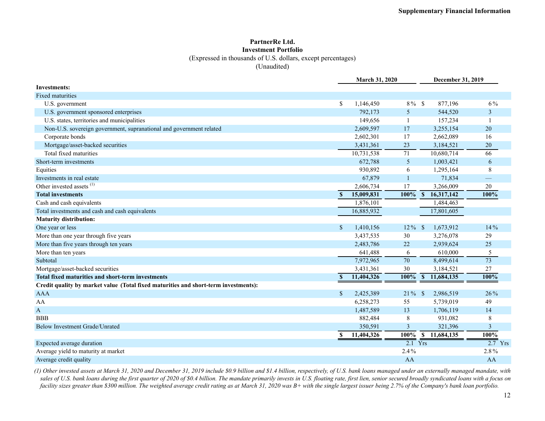#### **PartnerRe Ltd. Investment Portfolio** (Expressed in thousands of U.S. dollars, except percentages) (Unaudited)

|                                                                                     |              | <b>March 31, 2020</b> |                 |                            | December 31, 2019 |
|-------------------------------------------------------------------------------------|--------------|-----------------------|-----------------|----------------------------|-------------------|
| <b>Investments:</b>                                                                 |              |                       |                 |                            |                   |
| <b>Fixed maturities</b>                                                             |              |                       |                 |                            |                   |
| U.S. government                                                                     | \$           | 1,146,450             | $8\%$ \$        | 877,196                    | 6%                |
| U.S. government sponsored enterprises                                               |              | 792,173               | 5               | 544,520                    | 3                 |
| U.S. states, territories and municipalities                                         |              | 149,656               | $\mathbf{1}$    | 157,234                    |                   |
| Non-U.S. sovereign government, supranational and government related                 |              | 2,609,597             | 17              | 3,255,154                  | 20                |
| Corporate bonds                                                                     |              | 2,602,301             | 17              | 2,662,089                  | 16                |
| Mortgage/asset-backed securities                                                    |              | 3,431,361             | 23              | 3,184,521                  | 20                |
| Total fixed maturities                                                              |              | 10,731,538            | $\overline{71}$ | 10,680,714                 | 66                |
| Short-term investments                                                              |              | 672,788               | 5               | 1,003,421                  | 6                 |
| Equities                                                                            |              | 930,892               | 6               | 1,295,164                  | 8                 |
| Investments in real estate                                                          |              | 67,879                | $\mathbf{1}$    | 71,834                     |                   |
| Other invested assets <sup>(1)</sup>                                                |              | 2,606,734             | 17              | 3,266,009                  | 20                |
| <b>Total investments</b>                                                            | $\mathbf{s}$ | 15,009,831            | 100%            | $\mathbf{s}$<br>16,317,142 | 100%              |
| Cash and cash equivalents                                                           |              | 1,876,101             |                 | 1,484,463                  |                   |
| Total investments and cash and cash equivalents                                     |              | 16,885,932            |                 | 17,801,605                 |                   |
| <b>Maturity distribution:</b>                                                       |              |                       |                 |                            |                   |
| One year or less                                                                    | $\mathbb{S}$ | 1,410,156             | $12\%$ \$       | 1,673,912                  | 14%               |
| More than one year through five years                                               |              | 3,437,535             | 30              | 3,276,078                  | 29                |
| More than five years through ten years                                              |              | 2,483,786             | 22              | 2,939,624                  | 25                |
| More than ten years                                                                 |              | 641,488               | 6               | 610,000                    | 5                 |
| Subtotal                                                                            |              | 7,972,965             | $\overline{70}$ | 8,499,614                  | $\overline{73}$   |
| Mortgage/asset-backed securities                                                    |              | 3,431,361             | 30              | 3,184,521                  | 27                |
| <b>Total fixed maturities and short-term investments</b>                            | $\mathbf{s}$ | 11,404,326            | 100%            | S<br>11,684,135            | 100%              |
| Credit quality by market value (Total fixed maturities and short-term investments): |              |                       |                 |                            |                   |
| <b>AAA</b>                                                                          | $\mathbb{S}$ | 2,425,389             | $21\%$ \$       | 2,986,519                  | 26%               |
| AA                                                                                  |              | 6,258,273             | 55              | 5,739,019                  | 49                |
| A                                                                                   |              | 1,487,589             | 13              | 1,706,119                  | 14                |
| <b>BBB</b>                                                                          |              | 882,484               | 8               | 931,082                    | 8                 |
| <b>Below Investment Grade/Unrated</b>                                               |              | 350,591               | 3               | 321,396                    | $\mathfrak{Z}$    |
|                                                                                     | \$.          | 11,404,326            | 100%            | \$11,684,135               | 100%              |
| Expected average duration                                                           |              |                       | $2.1$ Yrs       |                            | $2.7$ Yrs         |
| Average yield to maturity at market                                                 |              |                       | 2.4%            |                            | 2.8%              |
| Average credit quality                                                              |              |                       | AA              |                            | AA                |

*(1) Other invested assets at March 31, 2020 and December 31, 2019 include \$0.9 billion and \$1.4 billion, respectively, of U.S. bank loans managed under an externally managed mandate, with sales of U.S. bank loans during the first quarter of 2020 of \$0.4 billion. The mandate primarily invests in U.S. floating rate, first lien, senior secured broadly syndicated loans with a focus on facility sizes greater than \$300 million. The weighted average credit rating as at March 31, 2020 was B+ with the single largest issuer being 2.7% of the Company's bank loan portfolio.*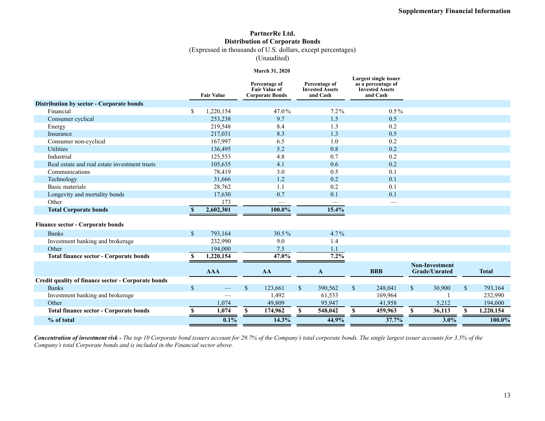## **PartnerRe Ltd. Distribution of Corporate Bonds**

(Expressed in thousands of U.S. dollars, except percentages)

(Unaudited)

#### **March 31, 2020**

|                                                    |               | <b>Fair Value</b> |             | Percentage of<br><b>Fair Value of</b><br><b>Corporate Bonds</b> |               | Percentage of<br><b>Invested Assets</b><br>and Cash |              | Largest single issuer<br>as a percentage of<br><b>Invested Assets</b><br>and Cash |              |                                               |              |              |
|----------------------------------------------------|---------------|-------------------|-------------|-----------------------------------------------------------------|---------------|-----------------------------------------------------|--------------|-----------------------------------------------------------------------------------|--------------|-----------------------------------------------|--------------|--------------|
| Distribution by sector - Corporate bonds           |               |                   |             |                                                                 |               |                                                     |              |                                                                                   |              |                                               |              |              |
| Financial                                          | S.            | 1,220,154         |             | 47.0%                                                           |               | $7.2\%$                                             |              | $0.5\%$                                                                           |              |                                               |              |              |
| Consumer cyclical                                  |               | 253,238           |             | 9.7                                                             |               | 1.5                                                 |              | 0.5                                                                               |              |                                               |              |              |
| Energy                                             |               | 219,548           |             | 8.4                                                             |               | 1.3                                                 |              | 0.2                                                                               |              |                                               |              |              |
| Insurance                                          |               | 217,031           |             | 8.3                                                             |               | 1.3                                                 |              | 0.5                                                                               |              |                                               |              |              |
| Consumer non-cyclical                              |               | 167,997           |             | 6.5                                                             |               | 1.0                                                 |              | 0.2                                                                               |              |                                               |              |              |
| <b>Utilities</b>                                   |               | 136,495           |             | 5.2                                                             |               | 0.8                                                 |              | 0.2                                                                               |              |                                               |              |              |
| Industrial                                         |               | 125,553           |             | 4.8                                                             |               | 0.7                                                 |              | 0.2                                                                               |              |                                               |              |              |
| Real estate and real estate investment trusts      |               | 105,635           |             | 4.1                                                             |               | 0.6                                                 |              | 0.2                                                                               |              |                                               |              |              |
| Communications                                     |               | 78,419            |             | 3.0                                                             |               | 0.5                                                 |              | 0.1                                                                               |              |                                               |              |              |
| Technology                                         |               | 31,666            |             | 1.2                                                             |               | 0.2                                                 |              | 0.1                                                                               |              |                                               |              |              |
| Basic materials                                    |               | 28,762            |             | 1.1                                                             |               | 0.2                                                 |              | 0.1                                                                               |              |                                               |              |              |
| Longevity and mortality bonds                      |               | 17,630            |             | 0.7                                                             |               | 0.1                                                 |              | 0.1                                                                               |              |                                               |              |              |
| Other                                              |               | 173               |             |                                                                 |               |                                                     |              | --                                                                                |              |                                               |              |              |
| <b>Total Corporate bonds</b>                       | <sup>\$</sup> | 2.602.301         |             | 100.0%                                                          |               | 15.4%                                               |              |                                                                                   |              |                                               |              |              |
| <b>Finance sector - Corporate bonds</b>            |               |                   |             |                                                                 |               |                                                     |              |                                                                                   |              |                                               |              |              |
| <b>Banks</b>                                       | $\mathbb{S}$  | 793,164           |             | $30.5\%$                                                        |               | $4.7\%$                                             |              |                                                                                   |              |                                               |              |              |
| Investment banking and brokerage                   |               | 232,990           |             | 9.0                                                             |               | 1.4                                                 |              |                                                                                   |              |                                               |              |              |
| Other                                              |               | 194,000           |             | 7.5                                                             |               | 1.1                                                 |              |                                                                                   |              |                                               |              |              |
| <b>Total finance sector - Corporate bonds</b>      | S.            | 1,220,154         |             | 47.0%                                                           |               | $7.2\%$                                             |              |                                                                                   |              |                                               |              |              |
|                                                    |               | <b>AAA</b>        |             | AA                                                              |               | A                                                   |              | <b>BBB</b>                                                                        |              | <b>Non-Investment</b><br><b>Grade/Unrated</b> |              | <b>Total</b> |
| Credit quality of finance sector - Corporate bonds |               |                   |             |                                                                 |               |                                                     |              |                                                                                   |              |                                               |              |              |
| <b>Banks</b>                                       | $\sqrt{\ }$   |                   | $\mathbf S$ | 123,661                                                         | $\mathbb{S}$  | 390,562                                             | $\mathbb{S}$ | 248,041                                                                           | $\mathbf{s}$ | 30,900                                        | $\mathbb{S}$ | 793,164      |
| Investment banking and brokerage                   |               |                   |             | 1,492                                                           |               | 61,533                                              |              | 169,964                                                                           |              |                                               |              | 232,990      |
| Other                                              |               | 1,074             |             | 49,809                                                          |               | 95.947                                              |              | 41,958                                                                            |              | 5,212                                         |              | 194,000      |
| <b>Total finance sector - Corporate bonds</b>      | \$.           | 1,074             | \$.         | 174,962                                                         | <sup>\$</sup> | 548,042                                             | \$           | 459,963                                                                           | S.           | 36,113                                        | S            | 1,220,154    |
| % of total                                         |               | 0.1%              |             | 14.3%                                                           |               | 44.9%                                               |              | 37.7%                                                                             |              | 3.0%                                          |              | 100.0%       |

*Concentration of investment risk - The top 10 Corporate bond issuers account for 29.7% of the Company's total corporate bonds. The single largest issuer accounts for 3.5% of the Company's total Corporate bonds and is included in the Financial sector above.*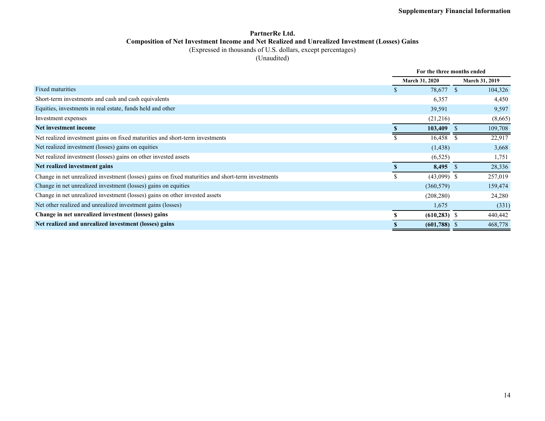### **PartnerRe Ltd. Composition of Net Investment Income and Net Realized and Unrealized Investment (Losses) Gains**

(Expressed in thousands of U.S. dollars, except percentages)

(Unaudited)

|                                                                                                   | For the three months ended |              |                       |  |
|---------------------------------------------------------------------------------------------------|----------------------------|--------------|-----------------------|--|
|                                                                                                   | <b>March 31, 2020</b>      |              | <b>March 31, 2019</b> |  |
| <b>Fixed maturities</b>                                                                           | 78,677                     | -S           | 104,326               |  |
| Short-term investments and cash and cash equivalents                                              | 6,357                      |              | 4,450                 |  |
| Equities, investments in real estate, funds held and other                                        | 39,591                     |              | 9,597                 |  |
| Investment expenses                                                                               | (21,216)                   |              | (8,665)               |  |
| Net investment income                                                                             | 103,409                    |              | 109,708               |  |
| Net realized investment gains on fixed maturities and short-term investments                      | 16,458                     | <sup>S</sup> | 22,917                |  |
| Net realized investment (losses) gains on equities                                                | (1, 438)                   |              | 3,668                 |  |
| Net realized investment (losses) gains on other invested assets                                   | (6, 525)                   |              | 1,751                 |  |
| Net realized investment gains                                                                     | $8,495$ \$                 |              | 28,336                |  |
| Change in net unrealized investment (losses) gains on fixed maturities and short-term investments | \$<br>$(43,099)$ \$        |              | 257,019               |  |
| Change in net unrealized investment (losses) gains on equities                                    | (360, 579)                 |              | 159,474               |  |
| Change in net unrealized investment (losses) gains on other invested assets                       | (208, 280)                 |              | 24,280                |  |
| Net other realized and unrealized investment gains (losses)                                       | 1,675                      |              | (331)                 |  |
| Change in net unrealized investment (losses) gains                                                | $(610, 283)$ \$            |              | 440,442               |  |
| Net realized and unrealized investment (losses) gains                                             | $(601,788)$ \$             |              | 468,778               |  |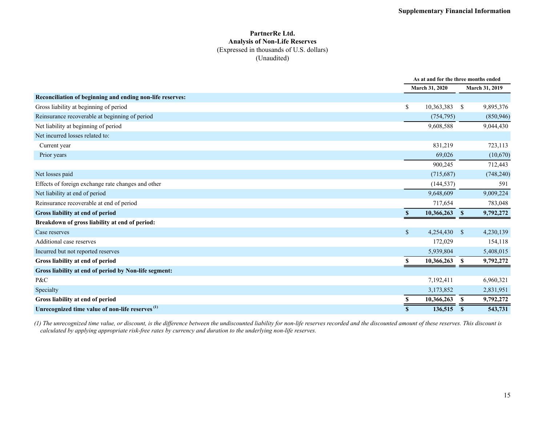#### **PartnerRe Ltd. Analysis of Non-Life Reserves** (Expressed in thousands of U.S. dollars) (Unaudited)

|                                                             |                             | As at and for the three months ended |                |  |  |  |
|-------------------------------------------------------------|-----------------------------|--------------------------------------|----------------|--|--|--|
|                                                             | March 31, 2020              |                                      | March 31, 2019 |  |  |  |
| Reconciliation of beginning and ending non-life reserves:   |                             |                                      |                |  |  |  |
| Gross liability at beginning of period                      | \$<br>10,363,383            | <sup>\$</sup>                        | 9,895,376      |  |  |  |
| Reinsurance recoverable at beginning of period              | (754, 795)                  |                                      | (850, 946)     |  |  |  |
| Net liability at beginning of period                        | 9,608,588                   |                                      | 9,044,430      |  |  |  |
| Net incurred losses related to:                             |                             |                                      |                |  |  |  |
| Current year                                                | 831,219                     |                                      | 723,113        |  |  |  |
| Prior years                                                 | 69,026                      |                                      | (10,670)       |  |  |  |
|                                                             | 900,245                     |                                      | 712,443        |  |  |  |
| Net losses paid                                             | (715,687)                   |                                      | (748, 240)     |  |  |  |
| Effects of foreign exchange rate changes and other          | (144, 537)                  |                                      | 591            |  |  |  |
| Net liability at end of period                              | 9,648,609                   |                                      | 9,009,224      |  |  |  |
| Reinsurance recoverable at end of period                    | 717,654                     |                                      | 783,048        |  |  |  |
| Gross liability at end of period                            | 10,366,263<br><sup>\$</sup> | $\mathbf{s}$                         | 9,792,272      |  |  |  |
| Breakdown of gross liability at end of period:              |                             |                                      |                |  |  |  |
| Case reserves                                               | \$<br>4,254,430             | $\mathbb{S}$                         | 4,230,139      |  |  |  |
| Additional case reserves                                    | 172,029                     |                                      | 154,118        |  |  |  |
| Incurred but not reported reserves                          | 5,939,804                   |                                      | 5,408,015      |  |  |  |
| Gross liability at end of period                            | 10,366,263<br>S             | \$                                   | 9,792,272      |  |  |  |
| Gross liability at end of period by Non-life segment:       |                             |                                      |                |  |  |  |
| P&C                                                         | 7,192,411                   |                                      | 6,960,321      |  |  |  |
| Specialty                                                   | 3,173,852                   |                                      | 2,831,951      |  |  |  |
| Gross liability at end of period                            | 10,366,263<br>S             | <b>S</b>                             | 9,792,272      |  |  |  |
| Unrecognized time value of non-life reserves <sup>(1)</sup> | 136,515<br>$\mathbf{s}$     | <sup>S</sup>                         | 543,731        |  |  |  |

*(1) The unrecognized time value, or discount, is the difference between the undiscounted liability for non-life reserves recorded and the discounted amount of these reserves. This discount is calculated by applying appropriate risk-free rates by currency and duration to the underlying non-life reserves.*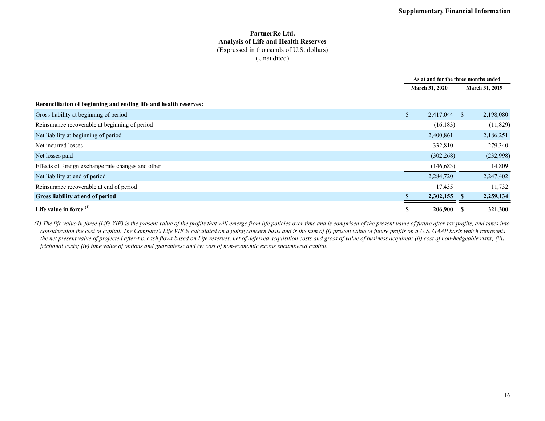#### **PartnerRe Ltd. Analysis of Life and Health Reserves** (Expressed in thousands of U.S. dollars) (Unaudited)

|                                                                  |              | As at and for the three months ended |              |                       |  |  |
|------------------------------------------------------------------|--------------|--------------------------------------|--------------|-----------------------|--|--|
|                                                                  |              | <b>March 31, 2020</b>                |              | <b>March 31, 2019</b> |  |  |
| Reconciliation of beginning and ending life and health reserves: |              |                                      |              |                       |  |  |
| Gross liability at beginning of period                           | $\mathbb{S}$ | 2,417,044                            | <sup>S</sup> | 2,198,080             |  |  |
| Reinsurance recoverable at beginning of period                   |              | (16, 183)                            |              | (11,829)              |  |  |
| Net liability at beginning of period                             |              | 2,400,861                            |              | 2,186,251             |  |  |
| Net incurred losses                                              |              | 332,810                              |              | 279,340               |  |  |
| Net losses paid                                                  |              | (302, 268)                           |              | (232,998)             |  |  |
| Effects of foreign exchange rate changes and other               |              | (146, 683)                           |              | 14,809                |  |  |
| Net liability at end of period                                   |              | 2,284,720                            |              | 2,247,402             |  |  |
| Reinsurance recoverable at end of period                         |              | 17,435                               |              | 11,732                |  |  |
| Gross liability at end of period                                 |              | 2,302,155                            |              | 2,259,134             |  |  |
| Life value in force $(1)$                                        | \$           | 206,900                              | -S           | 321,300               |  |  |

*(1) The life value in force (Life VIF) is the present value of the profits that will emerge from life policies over time and is comprised of the present value of future after-tax profits, and takes into consideration the cost of capital. The Company's Life VIF is calculated on a going concern basis and is the sum of (i) present value of future profits on a U.S. GAAP basis which represents the net present value of projected after-tax cash flows based on Life reserves, net of deferred acquisition costs and gross of value of business acquired; (ii) cost of non-hedgeable risks; (iii) frictional costs; (iv) time value of options and guarantees; and (v) cost of non-economic excess encumbered capital.*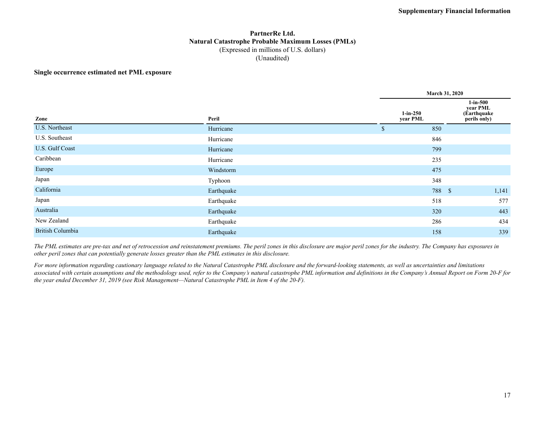### **PartnerRe Ltd. Natural Catastrophe Probable Maximum Losses (PMLs)** (Expressed in millions of U.S. dollars) (Unaudited)

#### **Single occurrence estimated net PML exposure**

|                         |            |             | <b>March 31, 2020</b>   |                                                        |  |  |  |  |  |
|-------------------------|------------|-------------|-------------------------|--------------------------------------------------------|--|--|--|--|--|
| Zone                    | Peril      |             | $1$ -in-250<br>year PML | $1$ -in-500<br>year PML<br>(Earthquake<br>perils only) |  |  |  |  |  |
| U.S. Northeast          | Hurricane  | $\mathbf S$ | 850                     |                                                        |  |  |  |  |  |
| U.S. Southeast          | Hurricane  |             | 846                     |                                                        |  |  |  |  |  |
| U.S. Gulf Coast         | Hurricane  |             | 799                     |                                                        |  |  |  |  |  |
| Caribbean               | Hurricane  |             | 235                     |                                                        |  |  |  |  |  |
| Europe                  | Windstorm  |             | 475                     |                                                        |  |  |  |  |  |
| Japan                   | Typhoon    |             | 348                     |                                                        |  |  |  |  |  |
| California              | Earthquake |             | 788 \$                  | 1,141                                                  |  |  |  |  |  |
| Japan                   | Earthquake |             | 518                     | 577                                                    |  |  |  |  |  |
| Australia               | Earthquake |             | 320                     | 443                                                    |  |  |  |  |  |
| New Zealand             | Earthquake |             | 286                     | 434                                                    |  |  |  |  |  |
| <b>British Columbia</b> | Earthquake |             | 158                     | 339                                                    |  |  |  |  |  |

*The PML estimates are pre-tax and net of retrocession and reinstatement premiums. The peril zones in this disclosure are major peril zones for the industry. The Company has exposures in other peril zones that can potentially generate losses greater than the PML estimates in this disclosure.*

*For more information regarding cautionary language related to the Natural Catastrophe PML disclosure and the forward-looking statements, as well as uncertainties and limitations associated with certain assumptions and the methodology used, refer to the Company's natural catastrophe PML information and definitions in the Company's Annual Report on Form 20-F for the year ended December 31, 2019 (see Risk Management—Natural Catastrophe PML in Item 4 of the 20-F).*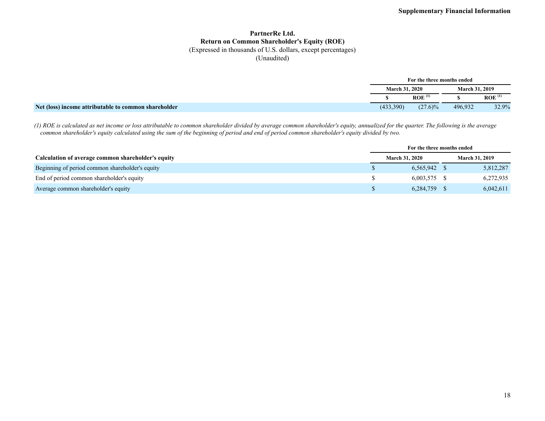## **PartnerRe Ltd. Return on Common Shareholder's Equity (ROE)**

(Expressed in thousands of U.S. dollars, except percentages)

(Unaudited)

|                                                      |                       | For the three months ended |                       |                    |
|------------------------------------------------------|-----------------------|----------------------------|-----------------------|--------------------|
|                                                      | <b>March 31, 2020</b> |                            | <b>March 31, 2019</b> |                    |
|                                                      |                       | <b>ROE</b>                 |                       | ROE <sup>(1)</sup> |
| Net (loss) income attributable to common shareholder | (433,390)             | $(27.6)\%$                 | 496,932               | 32.9%              |

*(1) ROE is calculated as net income or loss attributable to common shareholder divided by average common shareholder's equity, annualized for the quarter. The following is the average common shareholder's equity calculated using the sum of the beginning of period and end of period common shareholder's equity divided by two.*

|                                                    | For the three months ended |                |                       |           |
|----------------------------------------------------|----------------------------|----------------|-----------------------|-----------|
| Calculation of average common shareholder's equity | <b>March 31, 2020</b>      |                | <b>March 31, 2019</b> |           |
| Beginning of period common shareholder's equity    |                            | 6.565.942 \$   |                       | 5,812,287 |
| End of period common shareholder's equity          |                            | $6,003,575$ \$ |                       | 6,272,935 |
| Average common shareholder's equity                |                            | 6,284,759      |                       | 6,042,611 |